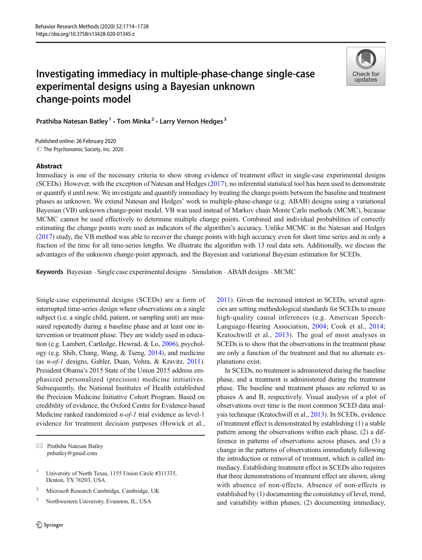# Investigating immediacy in multiple-phase-change single-case experimental designs using a Bayesian unknown change-points model



Prathiba Natesan Batley<sup>1</sup> . Tom Minka<sup>2</sup> . Larry Vernon Hedges<sup>3</sup>

 $\circled{C}$  The Psychonomic Society, Inc. 2020 Published online: 26 February 2020

## Abstract

Immediacy is one of the necessary criteria to show strong evidence of treatment effect in single-case experimental designs (SCEDs). However, with the exception of Natesan and Hedges ([2017](#page-13-0)), no inferential statistical tool has been used to demonstrate or quantify it until now. We investigate and quantify immediacy by treating the change points between the baseline and treatment phases as unknown. We extend Natesan and Hedges' work to multiple-phase-change (e.g. ABAB) designs using a variational Bayesian (VB) unknown change-point model. VB was used instead of Markov chain Monte Carlo methods (MCMC), because MCMC cannot be used effectively to determine multiple change points. Combined and individual probabilities of correctly estimating the change points were used as indicators of the algorithm's accuracy. Unlike MCMC in the Natesan and Hedges [\(2017\)](#page-13-0) study, the VB method was able to recover the change points with high accuracy even for short time series and in only a fraction of the time for all time-series lengths. We illustrate the algorithm with 13 real data sets. Additionally, we discuss the advantages of the unknown change-point approach, and the Bayesian and variational Bayesian estimation for SCEDs.

**Keywords** Bayesian  $\cdot$  Single case experimental designs  $\cdot$  Simulation  $\cdot$  ABAB designs  $\cdot$  MCMC

Single-case experimental designs (SCEDs) are a form of interrupted time-series design where observations on a single subject (i.e. a single child, patient, or sampling unit) are measured repeatedly during a baseline phase and at least one intervention or treatment phase. They are widely used in education (e.g. Lambert, Cartledge, Hewrad, & Lo, [2006\)](#page-13-0), psychology (e.g. Shih, Chang, Wang, & Tseng, [2014](#page-14-0)), and medicine (as n-of-1 designs, Gabler, Duan, Vohra, & Kravitz, [2011](#page-13-0)). President Obama's 2015 State of the Union 2015 address emphasized personalized (precision) medicine initiatives. Subsequently, the National Institutes of Health established the Precision Medicine Initiative Cohort Program. Based on credibility of evidence, the Oxford Centre for Evidence-based Medicine ranked randomized n-of-1 trial evidence as level-1 evidence for treatment decision purposes (Howick et al.,

 $\boxtimes$  Prathiba Natesan Batley [pnbatley@gmail.com](mailto:pnbatley@gmail.com)

<sup>1</sup> University of North Texas, 1155 Union Circle #311335, Denton, TX 76203, USA

- <sup>2</sup> Microsoft Research Cambridge, Cambridge, UK
- <sup>3</sup> Northwestern University, Evanston, IL, USA

[2011](#page-13-0)). Given the increased interest in SCEDs, several agencies are setting methodological standards for SCEDs to ensure high-quality causal inferences (e.g. American Speech-Language-Hearing Association, [2004;](#page-12-0) Cook et al., [2014;](#page-13-0) Kratochwill et al., [2013\)](#page-13-0). The goal of most analyses in SCEDs is to show that the observations in the treatment phase are only a function of the treatment and that no alternate explanations exist.

In SCEDs, no treatment is administered during the baseline phase, and a treatment is administered during the treatment phase. The baseline and treatment phases are referred to as phases A and B, respectively. Visual analysis of a plot of observations over time is the most common SCED data analysis technique (Kratochwill et al., [2013\)](#page-13-0). In SCEDs, evidence of treatment effect is demonstrated by establishing (1) a stable pattern among the observations within each phase, (2) a difference in patterns of observations across phases, and (3) a change in the patterns of observations immediately following the introduction or removal of treatment, which is called immediacy. Establishing treatment effect in SCEDs also requires that three demonstrations of treatment effect are shown, along with absence of non-effects. Absence of non-effects is established by (1) documenting the consistency of level, trend, and variability within phases; (2) documenting immediacy,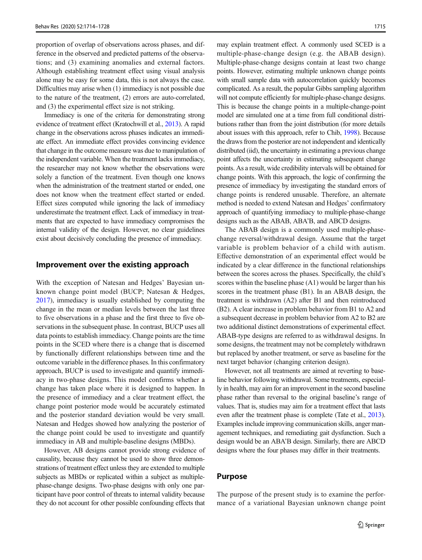proportion of overlap of observations across phases, and difference in the observed and predicted patterns of the observations; and (3) examining anomalies and external factors. Although establishing treatment effect using visual analysis alone may be easy for some data, this is not always the case. Difficulties may arise when (1) immediacy is not possible due to the nature of the treatment, (2) errors are auto-correlated, and (3) the experimental effect size is not striking.

Immediacy is one of the criteria for demonstrating strong evidence of treatment effect (Kratochwill et al., [2013](#page-13-0)). A rapid change in the observations across phases indicates an immediate effect. An immediate effect provides convincing evidence that change in the outcome measure was due to manipulation of the independent variable. When the treatment lacks immediacy, the researcher may not know whether the observations were solely a function of the treatment. Even though one knows when the administration of the treatment started or ended, one does not know when the treatment effect started or ended. Effect sizes computed while ignoring the lack of immediacy underestimate the treatment effect. Lack of immediacy in treatments that are expected to have immediacy compromises the internal validity of the design. However, no clear guidelines exist about decisively concluding the presence of immediacy.

#### Improvement over the existing approach

With the exception of Natesan and Hedges' Bayesian unknown change point model (BUCP; Natesan & Hedges, [2017\)](#page-13-0), immediacy is usually established by computing the change in the mean or median levels between the last three to five observations in a phase and the first three to five observations in the subsequent phase. In contrast, BUCP uses all data points to establish immediacy. Change points are the time points in the SCED where there is a change that is discerned by functionally different relationships between time and the outcome variable in the difference phases. In this confirmatory approach, BUCP is used to investigate and quantify immediacy in two-phase designs. This model confirms whether a change has taken place where it is designed to happen. In the presence of immediacy and a clear treatment effect, the change point posterior mode would be accurately estimated and the posterior standard deviation would be very small. Natesan and Hedges showed how analyzing the posterior of the change point could be used to investigate and quantify immediacy in AB and multiple-baseline designs (MBDs).

However, AB designs cannot provide strong evidence of causality, because they cannot be used to show three demonstrations of treatment effect unless they are extended to multiple subjects as MBDs or replicated within a subject as multiplephase-change designs. Two-phase designs with only one participant have poor control of threats to internal validity because they do not account for other possible confounding effects that

may explain treatment effect. A commonly used SCED is a multiple-phase-change design (e.g. the ABAB design). Multiple-phase-change designs contain at least two change points. However, estimating multiple unknown change points with small sample data with autocorrelation quickly becomes complicated. As a result, the popular Gibbs sampling algorithm will not compute efficiently for multiple-phase-change designs. This is because the change points in a multiple-change-point model are simulated one at a time from full conditional distributions rather than from the joint distribution (for more details about issues with this approach, refer to Chib, [1998](#page-13-0)). Because the draws from the posterior are not independent and identically distributed (iid), the uncertainty in estimating a previous change point affects the uncertainty in estimating subsequent change points. As a result, wide credibility intervals will be obtained for change points. With this approach, the logic of confirming the presence of immediacy by investigating the standard errors of change points is rendered unusable. Therefore, an alternate method is needed to extend Natesan and Hedges' confirmatory approach of quantifying immediacy to multiple-phase-change designs such as the ABAB, ABA'B, and ABCD designs.

The ABAB design is a commonly used multiple-phasechange reversal/withdrawal design. Assume that the target variable is problem behavior of a child with autism. Effective demonstration of an experimental effect would be indicated by a clear difference in the functional relationships between the scores across the phases. Specifically, the child's scores within the baseline phase (A1) would be larger than his scores in the treatment phase (B1). In an ABAB design, the treatment is withdrawn (A2) after B1 and then reintroduced (B2). A clear increase in problem behavior from B1 to A2 and a subsequent decrease in problem behavior from A2 to B2 are two additional distinct demonstrations of experimental effect. ABAB-type designs are referred to as withdrawal designs. In some designs, the treatment may not be completely withdrawn but replaced by another treatment, or serve as baseline for the next target behavior (changing criterion design).

However, not all treatments are aimed at reverting to baseline behavior following withdrawal. Some treatments, especially in health, may aim for an improvement in the second baseline phase rather than reversal to the original baseline's range of values. That is, studies may aim for a treatment effect that lasts even after the treatment phase is complete (Tate et al., [2013\)](#page-14-0). Examples include improving communication skills, anger management techniques, and remediating gait dysfunction. Such a design would be an ABA'B design. Similarly, there are ABCD designs where the four phases may differ in their treatments.

## Purpose

The purpose of the present study is to examine the performance of a variational Bayesian unknown change point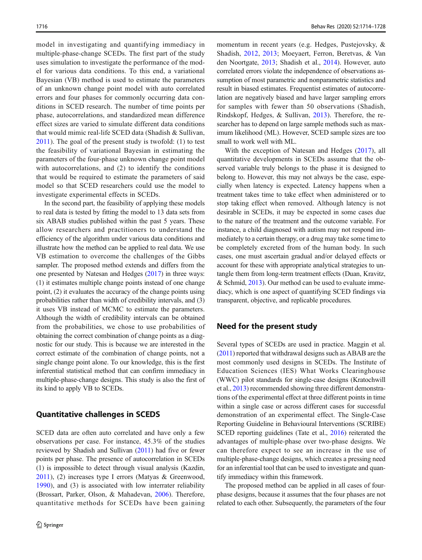model in investigating and quantifying immediacy in multiple-phase-change SCEDs. The first part of the study uses simulation to investigate the performance of the model for various data conditions. To this end, a variational Bayesian (VB) method is used to estimate the parameters of an unknown change point model with auto correlated errors and four phases for commonly occurring data conditions in SCED research. The number of time points per phase, autocorrelations, and standardized mean difference effect sizes are varied to simulate different data conditions that would mimic real-life SCED data (Shadish & Sullivan, [2011](#page-13-0)). The goal of the present study is twofold: (1) to test the feasibility of variational Bayesian in estimating the parameters of the four-phase unknown change point model with autocorrelations, and (2) to identify the conditions that would be required to estimate the parameters of said model so that SCED researchers could use the model to investigate experimental effects in SCEDs.

In the second part, the feasibility of applying these models to real data is tested by fitting the model to 13 data sets from six ABAB studies published within the past 5 years. These allow researchers and practitioners to understand the efficiency of the algorithm under various data conditions and illustrate how the method can be applied to real data. We use VB estimation to overcome the challenges of the Gibbs sampler. The proposed method extends and differs from the one presented by Natesan and Hedges ([2017](#page-13-0)) in three ways: (1) it estimates multiple change points instead of one change point, (2) it evaluates the accuracy of the change points using probabilities rather than width of credibility intervals, and (3) it uses VB instead of MCMC to estimate the parameters. Although the width of credibility intervals can be obtained from the probabilities, we chose to use probabilities of obtaining the correct combination of change points as a diagnostic for our study. This is because we are interested in the correct estimate of the combination of change points, not a single change point alone. To our knowledge, this is the first inferential statistical method that can confirm immediacy in multiple-phase-change designs. This study is also the first of its kind to apply VB to SCEDs.

# Quantitative challenges in SCEDS

SCED data are often auto correlated and have only a few observations per case. For instance, 45.3% of the studies reviewed by Shadish and Sullivan ([2011](#page-13-0)) had five or fewer points per phase. The presence of autocorrelation in SCEDs (1) is impossible to detect through visual analysis (Kazdin, [2011\)](#page-13-0), (2) increases type I errors (Matyas & Greenwood, [1990](#page-13-0)), and (3) is associated with low interrater reliability (Brossart, Parker, Olson, & Mahadevan, [2006\)](#page-13-0). Therefore, quantitative methods for SCEDs have been gaining momentum in recent years (e.g. Hedges, Pustejovsky, & Shadish, [2012,](#page-13-0) [2013](#page-13-0); Moeyaert, Ferron, Beretvas, & Van den Noortgate, [2013](#page-13-0); Shadish et al., [2014](#page-14-0)). However, auto correlated errors violate the independence of observations assumption of most parametric and nonparametric statistics and result in biased estimates. Frequentist estimates of autocorrelation are negatively biased and have larger sampling errors for samples with fewer than 50 observations (Shadish, Rindskopf, Hedges, & Sullivan, [2013](#page-13-0)). Therefore, the researcher has to depend on large sample methods such as maximum likelihood (ML). However, SCED sample sizes are too small to work well with ML.

With the exception of Natesan and Hedges [\(2017\)](#page-13-0), all quantitative developments in SCEDs assume that the observed variable truly belongs to the phase it is designed to belong to. However, this may not always be the case, especially when latency is expected. Latency happens when a treatment takes time to take effect when administered or to stop taking effect when removed. Although latency is not desirable in SCEDs, it may be expected in some cases due to the nature of the treatment and the outcome variable. For instance, a child diagnosed with autism may not respond immediately to a certain therapy, or a drug may take some time to be completely excreted from of the human body. In such cases, one must ascertain gradual and/or delayed effects or account for these with appropriate analytical strategies to untangle them from long-term treatment effects (Duan, Kravitz, & Schmid, [2013](#page-13-0)). Our method can be used to evaluate immediacy, which is one aspect of quantifying SCED findings via transparent, objective, and replicable procedures.

## Need for the present study

Several types of SCEDs are used in practice. Maggin et al. [\(2011\)](#page-13-0) reported that withdrawal designs such as ABAB are the most commonly used designs in SCEDs. The Institute of Education Sciences (IES) What Works Clearinghouse (WWC) pilot standards for single-case designs (Kratochwill et al., [2013](#page-13-0)) recommended showing three different demonstrations of the experimental effect at three different points in time within a single case or across different cases for successful demonstration of an experimental effect. The Single-Case Reporting Guideline in Behavioural Interventions (SCRIBE) SCED reporting guidelines (Tate et al., [2016\)](#page-14-0) reiterated the advantages of multiple-phase over two-phase designs. We can therefore expect to see an increase in the use of multiple-phase-change designs, which creates a pressing need for an inferential tool that can be used to investigate and quantify immediacy within this framework.

The proposed method can be applied in all cases of fourphase designs, because it assumes that the four phases are not related to each other. Subsequently, the parameters of the four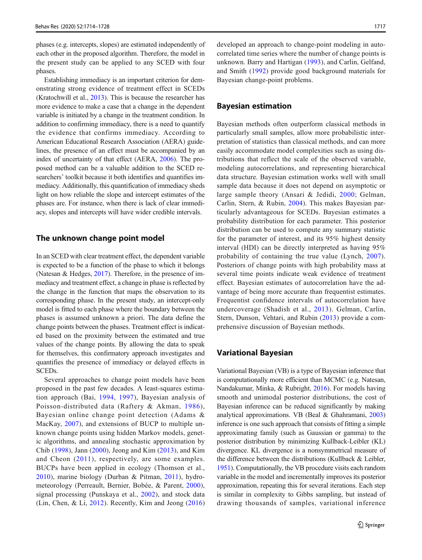phases (e.g. intercepts, slopes) are estimated independently of each other in the proposed algorithm. Therefore, the model in the present study can be applied to any SCED with four phases.

Establishing immediacy is an important criterion for demonstrating strong evidence of treatment effect in SCEDs (Kratochwill et al., [2013](#page-13-0)). This is because the researcher has more evidence to make a case that a change in the dependent variable is initiated by a change in the treatment condition. In addition to confirming immediacy, there is a need to quantify the evidence that confirms immediacy. According to American Educational Research Association (AERA) guidelines, the presence of an effect must be accompanied by an index of uncertainty of that effect (AERA, [2006](#page-12-0)). The proposed method can be a valuable addition to the SCED researchers' toolkit because it both identifies and quantifies immediacy. Additionally, this quantification of immediacy sheds light on how reliable the slope and intercept estimates of the phases are. For instance, when there is lack of clear immediacy, slopes and intercepts will have wider credible intervals.

# The unknown change point model

In an SCED with clear treatment effect, the dependent variable is expected to be a function of the phase to which it belongs (Natesan & Hedges, [2017](#page-13-0)). Therefore, in the presence of immediacy and treatment effect, a change in phase is reflected by the change in the function that maps the observation to its corresponding phase. In the present study, an intercept-only model is fitted to each phase where the boundary between the phases is assumed unknown a priori. The data define the change points between the phases. Treatment effect is indicated based on the proximity between the estimated and true values of the change points. By allowing the data to speak for themselves, this confirmatory approach investigates and quantifies the presence of immediacy or delayed effects in SCEDs.

Several approaches to change point models have been proposed in the past few decades. A least-squares estimation approach (Bai, [1994,](#page-12-0) [1997\)](#page-12-0), Bayesian analysis of Poisson-distributed data (Raftery & Akman, [1986\)](#page-13-0), Bayesian online change point detection (Adams & MacKay, [2007\)](#page-12-0), and extensions of BUCP to multiple unknown change points using hidden Markov models, genetic algorithms, and annealing stochastic approximation by Chib ([1998\)](#page-13-0), Jann ([2000](#page-13-0)), Jeong and Kim [\(2013\)](#page-13-0), and Kim and Cheon ([2011](#page-13-0)), respectively, are some examples. BUCPs have been applied in ecology (Thomson et al., [2010](#page-14-0)), marine biology (Durban & Pitman, [2011](#page-13-0)), hydrometeorology (Perreault, Bernier, Bobée, & Parent, [2000](#page-13-0)), signal processing (Punskaya et al., [2002](#page-13-0)), and stock data (Lin, Chen, & Li, [2012\)](#page-13-0). Recently, Kim and Jeong ([2016\)](#page-13-0)

developed an approach to change-point modeling in autocorrelated time series where the number of change points is unknown. Barry and Hartigan ([1993](#page-12-0)), and Carlin, Gelfand, and Smith [\(1992\)](#page-13-0) provide good background materials for Bayesian change-point problems.

## Bayesian estimation

Bayesian methods often outperform classical methods in particularly small samples, allow more probabilistic interpretation of statistics than classical methods, and can more easily accommodate model complexities such as using distributions that reflect the scale of the observed variable, modeling autocorrelations, and representing hierarchical data structure. Bayesian estimation works well with small sample data because it does not depend on asymptotic or large sample theory (Ansari & Jedidi, [2000;](#page-12-0) Gelman, Carlin, Stern, & Rubin, [2004](#page-13-0)). This makes Bayesian particularly advantageous for SCEDs. Bayesian estimates a probability distribution for each parameter. This posterior distribution can be used to compute any summary statistic for the parameter of interest, and its 95% highest density interval (HDI) can be directly interpreted as having 95% probability of containing the true value (Lynch, [2007](#page-13-0)). Posteriors of change points with high probability mass at several time points indicate weak evidence of treatment effect. Bayesian estimates of autocorrelation have the advantage of being more accurate than frequentist estimates. Frequentist confidence intervals of autocorrelation have undercoverage (Shadish et al., [2013\)](#page-13-0). Gelman, Carlin, Stern, Dunson, Vehtari, and Rubin ([2013](#page-13-0)) provide a comprehensive discussion of Bayesian methods.

# Variational Bayesian

Variational Bayesian (VB) is a type of Bayesian inference that is computationally more efficient than MCMC (e.g. Natesan, Nandakumar, Minka, & Rubright, [2016\)](#page-13-0). For models having smooth and unimodal posterior distributions, the cost of Bayesian inference can be reduced significantly by making analytical approximations. VB (Beal & Ghahramani, [2003](#page-12-0)) inference is one such approach that consists of fitting a simple approximating family (such as Gaussian or gamma) to the posterior distribution by minimizing Kullback-Leibler (KL) divergence. KL divergence is a nonsymmetrical measure of the difference between the distributions (Kullback & Leibler, [1951\)](#page-13-0). Computationally, the VB procedure visits each random variable in the model and incrementally improves its posterior approximation, repeating this for several iterations. Each step is similar in complexity to Gibbs sampling, but instead of drawing thousands of samples, variational inference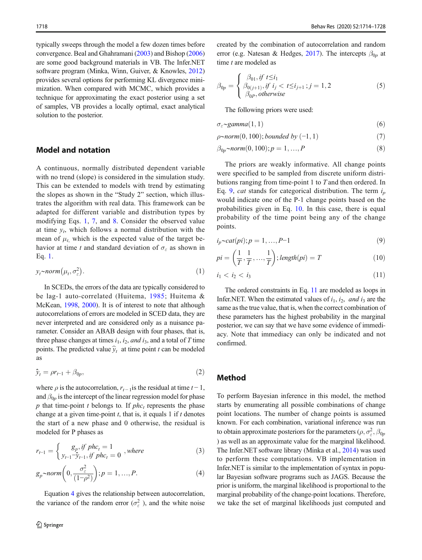typically sweeps through the model a few dozen times before convergence. Beal and Ghahramani [\(2003](#page-12-0)) and Bishop [\(2006\)](#page-13-0) are some good background materials in VB. The Infer.NET software program (Minka, Winn, Guiver, & Knowles, [2012\)](#page-13-0) provides several options for performing KL divergence minimization. When compared with MCMC, which provides a technique for approximating the exact posterior using a set of samples, VB provides a locally optimal, exact analytical solution to the posterior.

# Model and notation

A continuous, normally distributed dependent variable with no trend (slope) is considered in the simulation study. This can be extended to models with trend by estimating the slopes as shown in the "Study 2" section, which illustrates the algorithm with real data. This framework can be adapted for different variable and distribution types by modifying Eqs. 1, 7, and 8. Consider the observed value at time  $y_t$ , which follows a normal distribution with the mean of  $\mu_t$ , which is the expected value of the target behavior at time t and standard deviation of  $\sigma_{\varepsilon}$  as shown in Eq. 1.

$$
y_t \sim norm(\mu_t, \sigma_\varepsilon^2). \tag{1}
$$

In SCEDs, the errors of the data are typically considered to be lag-1 auto-correlated (Huitema, [1985;](#page-13-0) Huitema & McKean, [1998,](#page-13-0) [2000](#page-13-0)). It is of interest to note that although autocorrelations of errors are modeled in SCED data, they are never interpreted and are considered only as a nuisance parameter. Consider an ABAB design with four phases, that is, three phase changes at times  $i_1$ ,  $i_2$ , and  $i_3$ , and a total of T time points. The predicted value  $\hat{y}_t$  at time point t can be modeled as

$$
\hat{y}_t = \rho r_{t-1} + \beta_{0p},\tag{2}
$$

where  $\rho$  is the autocorrelation,  $r_{t-1}$  is the residual at time  $t-1$ , and  $\beta_{0p}$  is the intercept of the linear regression model for phase  $p$  that time-point  $t$  belongs to. If  $phc_t$  represents the phase change at a given time-point  $t$ , that is, it equals 1 if  $t$  denotes the start of a new phase and 0 otherwise, the residual is modeled for P phases as

$$
r_{t-1} = \begin{cases} g_p, \text{if } phc_t = 1\\ y_{t-1} - \hat{y}_{t-1}, \text{if } phc_t = 0 \end{cases}, \text{where} \tag{3}
$$

$$
g_p \sim norm \left(0, \frac{\sigma_{\varepsilon}^2}{(1-\rho^2)}\right); p = 1, ..., P. \tag{4}
$$

Equation 4 gives the relationship between autocorrelation, the variance of the random error ( $\sigma_{\varepsilon}^2$ ), and the white noise

created by the combination of autocorrelation and random error (e.g. Natesan & Hedges, [2017](#page-13-0)). The intercepts  $\beta_{0p}$  at time t are modeled as

$$
\beta_{0p} = \begin{cases}\n\beta_{01}, & \text{if } t \leq i_1 \\
\beta_{0(j+1)}, & \text{if } i_j < t \leq i_{j+1} ; j = 1, 2 \\
\beta_{0p}, & \text{otherwise}\n\end{cases} \tag{5}
$$

The following priors were used:

$$
\sigma_{\varepsilon} \sim gamma(1,1) \tag{6}
$$

$$
\rho \sim norm(0, 100); bounded \; by \; (-1, 1) \tag{7}
$$

$$
\beta_{0p} \sim norm(0, 100); p = 1, ..., P
$$
 (8)

The priors are weakly informative. All change points were specified to be sampled from discrete uniform distributions ranging from time-point 1 to T and then ordered. In Eq. 9, *cat* stands for categorical distribution. The term  $i<sub>n</sub>$ would indicate one of the P-1 change points based on the probabilities given in Eq. 10. In this case, there is equal probability of the time point being any of the change points.

$$
i_p \sim cat(pi); p = 1, ..., P-1
$$
\n(9)

$$
pi = \left(\frac{1}{T}, \frac{1}{T}, \dots, \frac{1}{T}\right); length(pi) = T
$$
\n(10)

$$
i_1 < i_2 < i_3 \tag{11}
$$

The ordered constraints in Eq. 11 are modeled as loops in Infer.NET. When the estimated values of  $i_1$ ,  $i_2$ , and  $i_3$  are the same as the true value, that is, when the correct combination of these parameters has the highest probability in the marginal posterior, we can say that we have some evidence of immediacy. Note that immediacy can only be indicated and not confirmed.

# Method

To perform Bayesian inference in this model, the method starts by enumerating all possible combinations of change point locations. The number of change points is assumed known. For each combination, variational inference was run to obtain approximate posteriors for the parameters ( $\rho$ ,  $\sigma_{\varepsilon}^2$ ,  $\beta_{0p}$ ) as well as an approximate value for the marginal likelihood. The Infer.NET software library (Minka et al., [2014](#page-13-0)) was used to perform these computations. VB implementation in Infer.NET is similar to the implementation of syntax in popular Bayesian software programs such as JAGS. Because the prior is uniform, the marginal likelihood is proportional to the marginal probability of the change-point locations. Therefore, we take the set of marginal likelihoods just computed and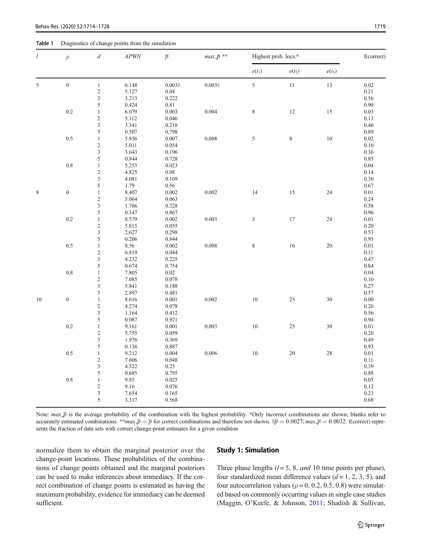# <span id="page-5-0"></span>Table 1 Diagnostics of change points from the simulation

| $\iota$ | $\rho$           | $\boldsymbol{d}$        | $APWN$ | $\overline{p}$  | $max \overline{p}$ ** | Highest prob. locs.* | f(correct)  |          |          |
|---------|------------------|-------------------------|--------|-----------------|-----------------------|----------------------|-------------|----------|----------|
|         |                  |                         |        |                 |                       | $e(i_1)$             | $e(i_2)$    | $e(i_3)$ |          |
| 5       | $\boldsymbol{0}$ | $\mathbf{1}$            | 6.148  | $0.003\diamond$ | $0.003\lozenge$       | $\sqrt{5}$           | $11\,$      | 13       | 0.02     |
|         |                  | $\overline{c}$          | 5.127  | 0.04            |                       |                      |             |          | 0.21     |
|         |                  | $\mathfrak z$           | 3.213  | 0.222           |                       |                      |             |          | 0.56     |
|         |                  | 5                       | 0.424  | 0.81            |                       |                      |             |          | 0.90     |
|         | 0.2              | $\,1$                   | 6.079  | 0.003           | 0.004                 | $\,$ 8 $\,$          | 12          | 15       | 0.03     |
|         |                  | $\sqrt{2}$              | 5.112  | 0.046           |                       |                      |             |          | 0.13     |
|         |                  | $\mathfrak{Z}$          | 3.341  | 0.218           |                       |                      |             |          | $0.46\,$ |
|         |                  | 5                       | 0.507  | 0.798           |                       |                      |             |          | 0.89     |
|         | 0.5              | $\,1$                   | 5.856  | 0.007           | $0.008\,$             | $\sqrt{5}$           | $\,$ 8 $\,$ | $10\,$   | 0.02     |
|         |                  | $\sqrt{2}$              | 5.011  | 0.054           |                       |                      |             |          | 0.10     |
|         |                  | 3                       | 3.643  | 0.196           |                       |                      |             |          | 0.36     |
|         |                  | $\mathfrak s$           | 0.844  | 0.728           |                       |                      |             |          | $0.85\,$ |
|         | $0.8\,$          | $\mathbf{1}$            | 5.253  | 0.023           |                       |                      |             |          | 0.04     |
|         |                  | $\overline{c}$          | 4.825  | 0.08            |                       |                      |             |          | 0.14     |
|         |                  | $\overline{\mathbf{3}}$ | 4.081  | 0.169           |                       |                      |             |          | 0.30     |
|         |                  | 5                       | 1.79   | 0.56            |                       |                      |             |          | 0.67     |
| 8       | $\boldsymbol{0}$ | $\,1$                   | 8.407  | 0.002           | $0.002\,$             | 14                   | 15          | 24       | $0.01\,$ |
|         |                  | $\sqrt{2}$              | 5.064  | 0.063           |                       |                      |             |          | 0.24     |
|         |                  | $\overline{3}$          | 1.766  | 0.328           |                       |                      |             |          | 0.58     |
|         |                  | 5                       | 0.147  | 0.867           |                       |                      |             |          | 0.96     |
|         | 0.2              | $\mathbf{1}$            | 8.579  | 0.002           | 0.003                 | $\mathfrak{Z}$       | 17          | 24       | $0.01\,$ |
|         |                  | $\overline{c}$          | 5.815  | 0.055           |                       |                      |             |          | 0.20     |
|         |                  | $\mathfrak{Z}$          | 2.627  | 0.298           |                       |                      |             |          | 0.53     |
|         |                  | 5                       | 0.206  | 0.844           |                       |                      |             |          | 0.95     |
|         | 0.5              | $\,1$                   | 8.56   | 0.002           | $0.008\,$             | $\,$ 8 $\,$          | 16          | 20       | 0.01     |
|         |                  | $\sqrt{2}$              | 6.819  | 0.044           |                       |                      |             |          | 0.11     |
|         |                  | $\mathfrak{Z}$          | 4.232  | 0.225           |                       |                      |             |          | 0.47     |
|         |                  | 5                       | 0.674  | 0.754           |                       |                      |             |          | 0.84     |
|         | 0.8              | $\,1$                   | 7.805  | 0.02            |                       |                      |             |          | 0.04     |
|         |                  | $\overline{c}$          | 7.085  | 0.078           |                       |                      |             |          | 0.10     |
|         |                  | $\mathfrak{Z}$          | 5.841  | 0.188           |                       |                      |             |          | 0.27     |
|         |                  | 5                       | 2.897  | 0.481           |                       |                      |             |          | 0.57     |
| 10      | $\boldsymbol{0}$ | $\,1$                   | 8.616  | 0.001           | 0.002                 | 10                   | 25          | 30       | 0.00     |
|         |                  | $\sqrt{2}$              | 4.274  | $0.078\,$       |                       |                      |             |          | $0.20\,$ |
|         |                  | $\overline{3}$          | 1.164  | 0.412           |                       |                      |             |          | 0.56     |
|         |                  | 5                       | 0.087  | 0.921           |                       |                      |             |          | 0.94     |
|         | 0.2              | $\,1$                   | 9.161  | 0.001           | 0.003                 | $10\,$               | 25          | 30       | 0.01     |
|         |                  | $\sqrt{2}$              | 5.755  | 0.059           |                       |                      |             |          | $0.20\,$ |
|         |                  | $\mathfrak{Z}$          | 1.976  | 0.369           |                       |                      |             |          | 0.49     |
|         |                  | 5                       | 0.136  | 0.887           |                       |                      |             |          | 0.93     |
|         | 0.5              | $\mathbf{1}$            | 9.212  | 0.004           | 0.006                 | $10\,$               | $20\,$      | 28       | 0.01     |
|         |                  | $\overline{c}$          | 7.606  | 0.048           |                       |                      |             |          | 0.11     |
|         |                  | $\overline{\mathbf{3}}$ | 4.522  | 0.25            |                       |                      |             |          | 0.39     |
|         |                  | 5                       | 0.685  | 0.795           |                       |                      |             |          | 0.88     |
|         | $0.8\,$          | $\,1$                   | 9.85   | 0.025           |                       |                      |             |          | 0.05     |
|         |                  | $\boldsymbol{2}$        | 9.16   | $0.076\,$       |                       |                      |             |          | 0.12     |
|         |                  | 3                       | 7.654  | 0.165           |                       |                      |             |          | 0.23     |
|         |                  | 5                       | 3.317  | 0.568           |                       |                      |             |          | 0.68     |
|         |                  |                         |        |                 |                       |                      |             |          |          |

Note:  $max_{\overline{p}}$  is the average probability of the combination with the highest probability. \*Only incorrect combinations are shown; blanks refer to accurately estimated combinations. \*\*max  $\bar{p} = \bar{p}$  for correct combinations and therefore not shown.  $\delta \bar{p} = 0.0027$ ; max  $\bar{p} = 0.0032$ . f(correct) represents the fraction of data sets with correct change-point estimates for a given condition

normalize them to obtain the marginal posterior over the change-point locations. These probabilities of the combinations of change points obtained and the marginal posteriors can be used to make inferences about immediacy. If the correct combination of change points is estimated as having the maximum probability, evidence for immediacy can be deemed sufficient.

## Study 1: Simulation

Three phase lengths  $(l = 5, 8, and 10$  time points per phase), four standardized mean difference values  $(d = 1, 2, 3, 5)$ , and four autocorrelation values ( $\rho = 0, 0.2, 0.5, 0.8$ ) were simulated based on commonly occurring values in single case studies (Maggin, O'Keefe, & Johnson, [2011](#page-13-0); Shadish & Sullivan,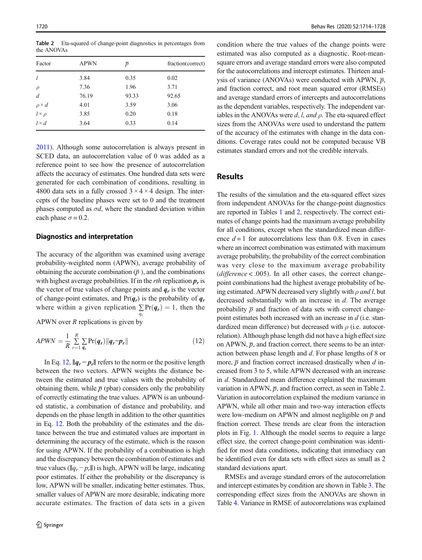Table 2 Eta-squared of change-point diagnostics in percentages from the ANOVAs

| Factor                             | <b>APWN</b> | $\overline{p}$ | fraction(correct) |
|------------------------------------|-------------|----------------|-------------------|
| l                                  | 3.84        | 0.35           | 0.02              |
| $\rho$                             | 7.36        | 1.96           | 3.71              |
| $\overline{d}$                     | 76.19       | 93.33          | 92.65             |
|                                    | 4.01        | 3.59           | 3.06              |
| $\rho \times d$<br>$l \times \rho$ | 3.85        | 0.20           | 0.18              |
| $l \times d$                       | 3.64        | 0.33           | 0.14              |
|                                    |             |                |                   |

[2011\)](#page-13-0). Although some autocorrelation is always present in SCED data, an autocorrelation value of 0 was added as a reference point to see how the presence of autocorrelation affects the accuracy of estimates. One hundred data sets were generated for each combination of conditions, resulting in 4800 data sets in a fully crossed  $3 \times 4 \times 4$  design. The intercepts of the baseline phases were set to 0 and the treatment phases computed as  $\sigma d$ , where the standard deviation within each phase  $\sigma = 0.2$ .

## Diagnostics and interpretation

The accuracy of the algorithm was examined using average probability-weighted norm (APWN), average probability of obtaining the accurate combination  $(\overline{p})$ , and the combinations with highest average probabilities. If in the *rth* replication  $p_r$  is the vector of true values of change points and  $q_r$  is the vector of change-point estimates, and  $Pr(q_r)$  is the probability of  $q_r$ where within a given replication ∑  $\sum_{q_r} \Pr(q_r) = 1$ , then the

APWN over  $R$  replications is given by

$$
APWN = \frac{1}{R} \sum_{r=1}^{R} \sum_{q_r} \Pr(q_r) ||q_r - p_r|| \tag{12}
$$

In Eq. 12,  $||q_r - p_r||$  refers to the norm or the positive length between the two vectors. APWN weights the distance between the estimated and true values with the probability of obtaining them, while  $\bar{p}$  (pbar) considers only the probability of correctly estimating the true values. APWN is an unbounded statistic, a combination of distance and probability, and depends on the phase length in addition to the other quantities in Eq. 12. Both the probability of the estimates and the distance between the true and estimated values are important in determining the accuracy of the estimate, which is the reason for using APWN. If the probability of a combination is high and the discrepancy between the combination of estimates and true values ( $||q_r - p_r||$ ) is high, APWN will be large, indicating poor estimates. If either the probability or the discrepancy is low, APWN will be smaller, indicating better estimates. Thus, smaller values of APWN are more desirable, indicating more accurate estimates. The fraction of data sets in a given condition where the true values of the change points were estimated was also computed as a diagnostic. Root-meansquare errors and average standard errors were also computed for the autocorrelations and intercept estimates. Thirteen analysis of variance (ANOVAs) were conducted with APWN,  $\overline{p}$ , and fraction correct, and root mean squared error (RMSEs) and average standard errors of intercepts and autocorrelations as the dependent variables, respectively. The independent variables in the ANOVAs were d, l, and  $\rho$ . The eta-squared effect sizes from the ANOVAs were used to understand the pattern of the accuracy of the estimates with change in the data conditions. Coverage rates could not be computed because VB estimates standard errors and not the credible intervals.

# Results

The results of the simulation and the eta-squared effect sizes from independent ANOVAs for the change-point diagnostics are reported in Tables [1](#page-5-0) and 2, respectively. The correct estimates of change points had the maximum average probability for all conditions, except when the standardized mean difference  $d = 1$  for autocorrelations less than 0.8. Even in cases where an incorrect combination was estimated with maximum average probability, the probability of the correct combination was very close to the maximum average probability (*difference*  $< .005$ ). In all other cases, the correct changepoint combinations had the highest average probability of being estimated. APWN decreased very slightly with  $\rho$  and l, but decreased substantially with an increase in d. The average probability  $\bar{p}$  and fraction of data sets with correct changepoint estimates both increased with an increase in d (i.e. standardized mean difference) but decreased with  $\rho$  (i.e. autocorrelation). Although phase length did not have a high effect size on APWN,  $\overline{p}$ , and fraction correct, there seems to be an interaction between phase length and d. For phase lengths of 8 or more,  $\overline{p}$  and fraction correct increased drastically when d increased from 3 to 5, while APWN decreased with an increase in d. Standardized mean difference explained the maximum variation in APWN,  $\bar{p}$ , and fraction correct, as seen in Table 2. Variation in autocorrelation explained the medium variance in APWN, while all other main and two-way interaction effects were low-medium on APWN and almost negligible on  $\overline{p}$  and fraction correct. These trends are clear from the interaction plots in Fig. [1](#page-7-0). Although the model seems to require a large effect size, the correct change-point combination was identified for most data conditions, indicating that immediacy can be identified even for data sets with effect sizes as small as 2 standard deviations apart.

RMSEs and average standard errors of the autocorrelation and intercept estimates by condition are shown in Table [3.](#page-8-0) The corresponding effect sizes from the ANOVAs are shown in Table [4.](#page-8-0) Variance in RMSE of autocorrelations was explained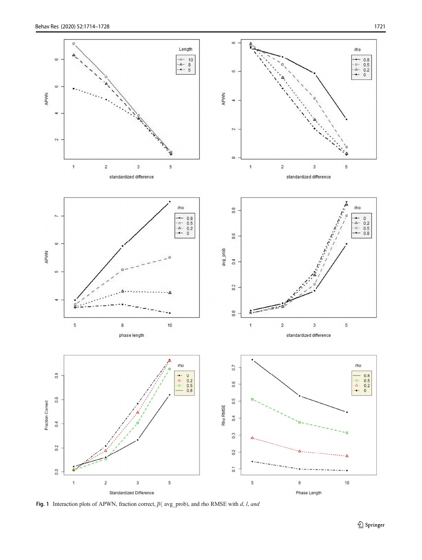<span id="page-7-0"></span>

Fig. 1 Interaction plots of APWN, fraction correct,  $\overline{p}$ ( avg\_prob), and rho RMSE with d, l, and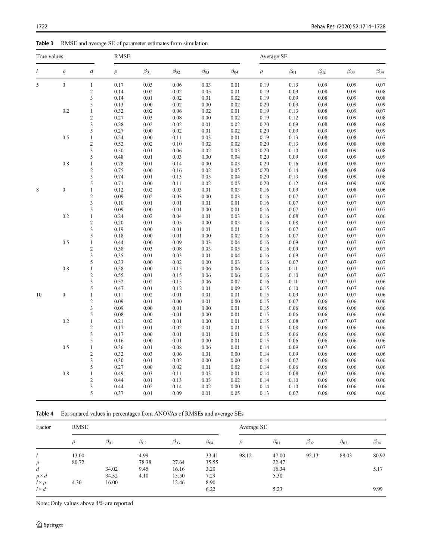<span id="page-8-0"></span>Table 3 RMSE and average SE of parameter estimates from simulation

| True values |                  |                | <b>RMSE</b> |              |              |              |              | Average SE |              |              |              |              |  |
|-------------|------------------|----------------|-------------|--------------|--------------|--------------|--------------|------------|--------------|--------------|--------------|--------------|--|
| l           | $\rho$           | d              | $\rho$      | $\beta_{01}$ | $\beta_{02}$ | $\beta_{03}$ | $\beta_{04}$ | $\rho$     | $\beta_{01}$ | $\beta_{02}$ | $\beta_{03}$ | $\beta_{04}$ |  |
| 5           | $\overline{0}$   | $\,1$          | 0.17        | 0.03         | 0.06         | 0.03         | 0.01         | 0.19       | 0.13         | 0.09         | 0.09         | 0.07         |  |
|             |                  | $\sqrt{2}$     | 0.14        | 0.02         | 0.02         | 0.05         | 0.01         | 0.19       | 0.09         | 0.08         | 0.09         | 0.08         |  |
|             |                  | $\mathfrak{Z}$ | 0.14        | 0.01         | 0.02         | 0.01         | 0.02         | 0.19       | 0.09         | 0.08         | 0.09         | 0.08         |  |
|             |                  | 5              | 0.13        | $0.00\,$     | 0.02         | 0.00         | 0.02         | 0.20       | 0.09         | 0.09         | 0.09         | 0.09         |  |
|             | 0.2              | $\mathbf{1}$   | 0.32        | 0.02         | 0.06         | 0.02         | 0.01         | 0.19       | 0.13         | 0.08         | 0.09         | 0.07         |  |
|             |                  | $\mathfrak 2$  | 0.27        | 0.03         | 0.08         | 0.00         | 0.02         | 0.19       | 0.12         | 0.08         | 0.09         | 0.08         |  |
|             |                  | 3              | 0.28        | 0.02         | 0.02         | 0.01         | 0.02         | 0.20       | 0.09         | 0.08         | 0.08         | 0.08         |  |
|             |                  | 5              | 0.27        | $0.00\,$     | 0.02         | 0.01         | 0.02         | 0.20       | 0.09         | 0.09         | 0.09         | 0.09         |  |
|             | 0.5              | $\,1$          | 0.54        | 0.00         | 0.11         | 0.03         | 0.01         | 0.19       | 0.13         | 0.08         | 0.08         | 0.07         |  |
|             |                  | $\mathfrak 2$  | 0.52        | 0.02         | 0.10         | 0.02         | 0.02         | 0.20       | 0.13         | 0.08         | 0.08         | 0.08         |  |
|             |                  | 3              | 0.50        | 0.01         | 0.06         | 0.02         | 0.03         | 0.20       | 0.10         | 0.08         | 0.09         | 0.08         |  |
|             |                  | 5              | 0.48        | 0.01         | 0.03         | 0.00         | 0.04         | 0.20       | 0.09         | 0.09         | 0.09         | 0.09         |  |
|             | $0.8\,$          | $\,1$          | 0.78        | 0.01         | 0.14         | 0.00         | 0.03         | 0.20       | 0.16         | 0.08         | 0.08         | 0.07         |  |
|             |                  | $\mathfrak 2$  | 0.75        | 0.00         | 0.16         | 0.02         | 0.05         | 0.20       | 0.14         | 0.08         | 0.08         | 0.08         |  |
|             |                  | $\mathfrak{Z}$ | 0.74        | 0.01         | 0.13         | 0.05         | 0.04         | 0.20       | 0.13         | 0.08         | 0.09         | 0.08         |  |
|             |                  | 5              | 0.71        | 0.00         | 0.11         | 0.02         | 0.05         | 0.20       | 0.12         | 0.09         | 0.09         | 0.09         |  |
| $\,$ 8 $\,$ | $\boldsymbol{0}$ | $\,1$          | 0.12        | 0.02         | 0.03         | 0.01         | 0.03         | 0.16       | 0.09         | 0.07         | 0.08         | 0.06         |  |
|             |                  | $\mathfrak 2$  | 0.09        | 0.02         | 0.03         | $0.00\,$     | 0.03         | 0.16       | 0.07         | 0.07         | 0.07         | 0.07         |  |
|             |                  | $\mathfrak{Z}$ | 0.10        | 0.01         | 0.01         | 0.01         | 0.01         | 0.16       | 0.07         | 0.07         | 0.07         | 0.07         |  |
|             |                  | 5              | 0.09        | 0.00         | 0.01         | 0.00         | 0.01         | 0.16       | 0.07         | 0.07         | 0.07         | 0.07         |  |
|             | 0.2              | $\mathbf{1}$   | 0.24        | 0.02         | 0.04         | 0.01         | 0.03         | 0.16       | 0.08         | 0.07         | 0.07         | 0.06         |  |
|             |                  | $\mathfrak 2$  | 0.20        | $0.01\,$     | 0.05         | 0.00         | 0.03         | 0.16       | 0.08         | 0.07         | 0.07         | 0.07         |  |
|             |                  | 3              | 0.19        | 0.00         | 0.01         | 0.01         | 0.01         | 0.16       | 0.07         | 0.07         | 0.07         | 0.07         |  |
|             |                  | 5              | 0.18        | 0.00         | 0.01         | $0.00\,$     | 0.02         | 0.16       | 0.07         | 0.07         | 0.07         | 0.07         |  |
|             | 0.5              | $\mathbf{1}$   | 0.44        | 0.00         | 0.09         | 0.03         | 0.04         | 0.16       | 0.09         | 0.07         | 0.07         | 0.07         |  |
|             |                  | $\mathfrak 2$  | 0.38        | 0.03         | 0.08         | 0.03         | 0.05         | 0.16       | 0.09         | 0.07         | 0.07         | 0.07         |  |
|             |                  | 3              | 0.35        | 0.01         | 0.03         | 0.01         | 0.04         | 0.16       | 0.09         | 0.07         | 0.07         | 0.07         |  |
|             |                  | 5              | 0.33        | 0.00         | 0.02         | $0.00\,$     | 0.03         | 0.16       | 0.07         | 0.07         | 0.07         | 0.07         |  |
|             | $0.8\,$          | $\mathbf{1}$   | 0.58        | 0.00         | 0.15         | 0.06         | 0.06         | 0.16       | 0.11         | 0.07         | 0.07         | 0.07         |  |
|             |                  | $\mathfrak 2$  | 0.55        | 0.01         | 0.15         | 0.06         | 0.06         | 0.16       | 0.10         | 0.07         | 0.07         | 0.07         |  |
|             |                  | $\mathfrak{Z}$ | 0.52        | 0.02         | 0.15         | 0.06         | 0.07         | 0.16       | 0.11         | 0.07         | 0.07         | 0.06         |  |
|             |                  | 5              | 0.47        | 0.01         | 0.12         | 0.01         | 0.09         | 0.15       | 0.10         | 0.07         | 0.07         | 0.06         |  |
| 10          | $\boldsymbol{0}$ | $\,1$          | 0.11        | 0.02         | 0.01         | 0.01         | 0.01         | 0.15       | 0.09         | 0.07         | 0.07         | 0.06         |  |
|             |                  | $\overline{c}$ | 0.09        | 0.01         | 0.00         | 0.01         | 0.00         | 0.15       | 0.07         | 0.06         | 0.06         | 0.06         |  |
|             |                  | $\mathfrak{Z}$ | 0.09        | 0.00         | 0.01         | 0.00         | 0.01         | 0.15       | 0.06         | 0.06         | 0.06         | 0.06         |  |
|             |                  | 5              | 0.08        | $0.00\,$     | 0.01         | 0.00         | 0.01         | 0.15       | 0.06         | 0.06         | 0.06         | 0.06         |  |
|             | 0.2              | $\mathbf{1}$   | 0.21        | 0.02         | 0.01         | 0.00         | 0.01         | 0.15       | 0.08         | 0.07         | 0.07         | 0.06         |  |
|             |                  | $\overline{c}$ | 0.17        | 0.01         | 0.02         | 0.01         | 0.01         | 0.15       | 0.08         | 0.06         | 0.06         | 0.06         |  |
|             |                  | $\mathfrak{Z}$ | 0.17        | 0.00         | 0.01         | 0.01         | 0.01         | 0.15       | 0.06         | 0.06         | 0.06         | 0.06         |  |
|             |                  | 5              | 0.16        | $0.00\,$     | 0.01         | 0.00         | 0.01         | 0.15       | 0.06         | 0.06         | 0.06         | 0.06         |  |
|             | 0.5              | $\,1$          | 0.36        | 0.01         | 0.08         | 0.06         | 0.01         | 0.14       | 0.09         | 0.07         | 0.06         | 0.07         |  |
|             |                  | $\mathfrak 2$  | 0.32        | 0.03         | 0.06         | 0.01         | 0.00         | 0.14       | 0.09         | 0.06         | 0.06         | 0.06         |  |
|             |                  | 3              | 0.30        | 0.01         | 0.02         | 0.00         | 0.00         | 0.14       | 0.07         | 0.06         | 0.06         | 0.06         |  |
|             |                  | 5              | 0.27        | 0.00         | 0.02         | 0.01         | 0.02         | 0.14       | 0.06         | 0.06         | 0.06         | 0.06         |  |
|             | 0.8              | $\mathbf{1}$   | 0.49        | 0.03         | 0.11         | 0.03         | 0.01         | 0.14       | 0.08         | 0.07         | 0.06         | 0.06         |  |
|             |                  | $\mathfrak 2$  | 0.44        | 0.01         | 0.13         | 0.03         | 0.02         | 0.14       | 0.10         | 0.06         | 0.06         | 0.06         |  |
|             |                  | 3<br>5         | 0.44        | 0.02         | 0.14         | 0.02         | 0.00         | 0.14       | 0.10         | 0.06         | 0.06         | 0.06         |  |
|             |                  |                | 0.37        | 0.01         | 0.09         | 0.01         | 0.05         | 0.13       | 0.07         | 0.06         | 0.06         | 0.06         |  |

Table 4 Eta-squared values in percentages from ANOVAs of RMSEs and average SEs

| Factor           | <b>RMSE</b> |              |              |             |              |       | Average SE   |              |             |              |  |  |
|------------------|-------------|--------------|--------------|-------------|--------------|-------|--------------|--------------|-------------|--------------|--|--|
|                  | $\rho$      | $\beta_{01}$ | $\beta_{02}$ | $\rho_{03}$ | $\beta_{04}$ |       | $\beta_{01}$ | $\beta_{02}$ | $\rho_{03}$ | $\beta_{04}$ |  |  |
|                  | 13.00       |              | 4.99         |             | 33.41        | 98.12 | 47.00        | 92.13        | 88.03       | 80.92        |  |  |
| $\rho$           | 80.72       |              | 78.38        | 27.64       | 35.55        |       | 22.47        |              |             |              |  |  |
| $\boldsymbol{d}$ |             | 34.02        | 9.45         | 16.16       | 3.20         |       | 16.34        |              |             | 5.17         |  |  |
| $\rho \times d$  |             | 34.32        | 4.10         | 15.50       | 7.29         |       | 5.30         |              |             |              |  |  |
| $l \times \rho$  | 4.30        | 16.00        |              | 12.46       | 8.90         |       |              |              |             |              |  |  |
| $l \times d$     |             |              |              |             | 6.22         |       | 5.23         |              |             | 9.99         |  |  |

Note: Only values above 4% are reported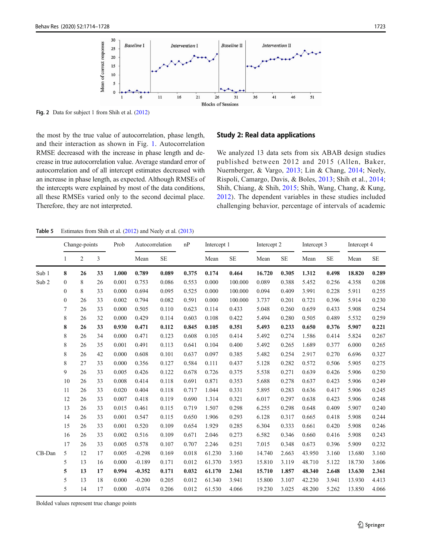<span id="page-9-0"></span>

Fig. 2 Data for subject 1 from Shih et al. [\(2012](#page-14-0))

the most by the true value of autocorrelation, phase length, and their interaction as shown in Fig. [1.](#page-7-0) Autocorrelation RMSE decreased with the increase in phase length and decrease in true autocorrelation value. Average standard error of autocorrelation and of all intercept estimates decreased with an increase in phase length, as expected. Although RMSEs of the intercepts were explained by most of the data conditions, all these RMSEs varied only to the second decimal place. Therefore, they are not interpreted.

## Study 2: Real data applications

We analyzed 13 data sets from six ABAB design studies published between 2012 and 2015 (Allen, Baker, Nuernberger, & Vargo, [2013](#page-12-0); Lin & Chang, [2014](#page-13-0); Neely, Rispoli, Camargo, Davis, & Boles, [2013](#page-13-0); Shih et al., [2014;](#page-14-0) Shih, Chiang, & Shih, [2015](#page-14-0); Shih, Wang, Chang, & Kung, [2012](#page-14-0)). The dependent variables in these studies included challenging behavior, percentage of intervals of academic

Table 5 Estimates from Shih et al. [\(2012\)](#page-14-0) and Neely et al. [\(2013\)](#page-13-0)

|                  | Change-points    |                | Prob |       | Autocorrelation |           |       | Intercept 1 |           | Intercept 2 |           | Intercept 3 |           | Intercept 4 |           |
|------------------|------------------|----------------|------|-------|-----------------|-----------|-------|-------------|-----------|-------------|-----------|-------------|-----------|-------------|-----------|
|                  | $\mathbf{1}$     | $\overline{2}$ | 3    |       | Mean            | <b>SE</b> |       | Mean        | <b>SE</b> | Mean        | <b>SE</b> | Mean        | <b>SE</b> | Mean        | <b>SE</b> |
| Sub 1            | 8                | 26             | 33   | 1.000 | 0.789           | 0.089     | 0.375 | 0.174       | 0.464     | 16.720      | 0.305     | 1.312       | 0.498     | 18.820      | 0.289     |
| Sub <sub>2</sub> | $\mathbf{0}$     | 8              | 26   | 0.001 | 0.753           | 0.086     | 0.553 | 0.000       | 100.000   | 0.089       | 0.388     | 5.452       | 0.256     | 4.358       | 0.208     |
|                  | $\boldsymbol{0}$ | 8              | 33   | 0.000 | 0.694           | 0.095     | 0.525 | 0.000       | 100.000   | 0.094       | 0.409     | 3.991       | 0.228     | 5.911       | 0.255     |
|                  | $\mathbf{0}$     | 26             | 33   | 0.002 | 0.794           | 0.082     | 0.591 | 0.000       | 100.000   | 3.737       | 0.201     | 0.721       | 0.396     | 5.914       | 0.230     |
|                  | 7                | 26             | 33   | 0.000 | 0.505           | 0.110     | 0.623 | 0.114       | 0.433     | 5.048       | 0.260     | 0.659       | 0.433     | 5.908       | 0.254     |
|                  | 8                | 26             | 32   | 0.000 | 0.429           | 0.114     | 0.603 | 0.108       | 0.422     | 5.494       | 0.280     | 0.505       | 0.489     | 5.532       | 0.259     |
|                  | 8                | 26             | 33   | 0.930 | 0.471           | 0.112     | 0.845 | 0.105       | 0.351     | 5.493       | 0.233     | 0.650       | 0.376     | 5.907       | 0.221     |
|                  | 8                | 26             | 34   | 0.000 | 0.471           | 0.123     | 0.608 | 0.105       | 0.414     | 5.492       | 0.274     | 1.586       | 0.414     | 5.824       | 0.267     |
|                  | 8                | 26             | 35   | 0.001 | 0.491           | 0.113     | 0.641 | 0.104       | 0.400     | 5.492       | 0.265     | 1.689       | 0.377     | 6.000       | 0.265     |
|                  | 8                | 26             | 42   | 0.000 | 0.608           | 0.101     | 0.637 | 0.097       | 0.385     | 5.482       | 0.254     | 2.917       | 0.270     | 6.696       | 0.327     |
|                  | 8                | 27             | 33   | 0.000 | 0.356           | 0.127     | 0.584 | 0.111       | 0.437     | 5.128       | 0.282     | 0.572       | 0.506     | 5.905       | 0.275     |
|                  | 9                | 26             | 33   | 0.005 | 0.426           | 0.122     | 0.678 | 0.726       | 0.375     | 5.538       | 0.271     | 0.639       | 0.426     | 5.906       | 0.250     |
|                  | 10               | 26             | 33   | 0.008 | 0.414           | 0.118     | 0.691 | 0.871       | 0.353     | 5.688       | 0.278     | 0.637       | 0.423     | 5.906       | 0.249     |
|                  | 11               | 26             | 33   | 0.020 | 0.404           | 0.118     | 0.717 | 1.044       | 0.331     | 5.895       | 0.283     | 0.636       | 0.417     | 5.906       | 0.245     |
|                  | 12               | 26             | 33   | 0.007 | 0.418           | 0.119     | 0.690 | 1.314       | 0.321     | 6.017       | 0.297     | 0.638       | 0.423     | 5.906       | 0.248     |
|                  | 13               | 26             | 33   | 0.015 | 0.461           | 0.115     | 0.719 | 1.507       | 0.298     | 6.255       | 0.298     | 0.648       | 0.409     | 5.907       | 0.240     |
|                  | 14               | 26             | 33   | 0.001 | 0.547           | 0.115     | 0.650 | 1.906       | 0.293     | 6.128       | 0.317     | 0.665       | 0.418     | 5.908       | 0.244     |
|                  | 15               | 26             | 33   | 0.001 | 0.520           | 0.109     | 0.654 | 1.929       | 0.285     | 6.304       | 0.333     | 0.661       | 0.420     | 5.908       | 0.246     |
|                  | 16               | 26             | 33   | 0.002 | 0.516           | 0.109     | 0.671 | 2.046       | 0.273     | 6.582       | 0.346     | 0.660       | 0.416     | 5.908       | 0.243     |
|                  | 17               | 26             | 33   | 0.005 | 0.578           | 0.107     | 0.707 | 2.246       | 0.251     | 7.015       | 0.348     | 0.673       | 0.396     | 5.909       | 0.232     |
| CB-Dan           | 5                | 12             | 17   | 0.005 | $-0.298$        | 0.169     | 0.018 | 61.230      | 3.160     | 14.740      | 2.663     | 43.950      | 3.160     | 13.680      | 3.160     |
|                  | 5                | 13             | 16   | 0.000 | $-0.189$        | 0.171     | 0.012 | 61.370      | 3.953     | 15.810      | 3.119     | 48.710      | 5.122     | 18.730      | 3.606     |
|                  | 5                | 13             | 17   | 0.994 | $-0.352$        | 0.171     | 0.032 | 61.170      | 2.361     | 15.710      | 1.857     | 48.340      | 2.648     | 13.630      | 2.361     |
|                  | 5                | 13             | 18   | 0.000 | $-0.200$        | 0.205     | 0.012 | 61.340      | 3.941     | 15.800      | 3.107     | 42.230      | 3.941     | 13.930      | 4.413     |
|                  | 5                | 14             | 17   | 0.000 | $-0.074$        | 0.206     | 0.012 | 61.530      | 4.066     | 19.230      | 3.025     | 48.200      | 5.262     | 13.850      | 4.066     |

Bolded values represent true change points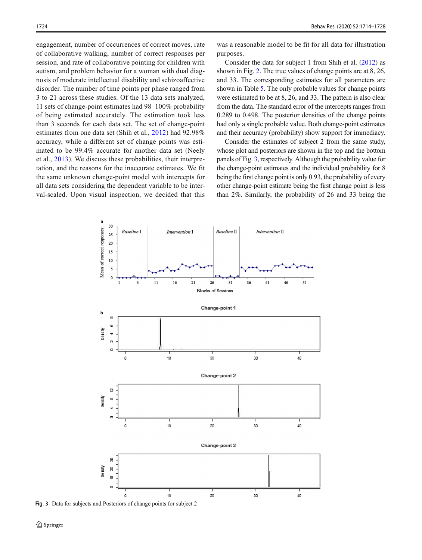engagement, number of occurrences of correct moves, rate of collaborative walking, number of correct responses per session, and rate of collaborative pointing for children with autism, and problem behavior for a woman with dual diagnosis of moderate intellectual disability and schizoaffective disorder. The number of time points per phase ranged from 3 to 21 across these studies. Of the 13 data sets analyzed, 11 sets of change-point estimates had 98–100% probability of being estimated accurately. The estimation took less than 3 seconds for each data set. The set of change-point estimates from one data set (Shih et al., [2012\)](#page-14-0) had 92.98% accuracy, while a different set of change points was estimated to be 99.4% accurate for another data set (Neely et al., [2013\)](#page-13-0). We discuss these probabilities, their interpretation, and the reasons for the inaccurate estimates. We fit the same unknown change-point model with intercepts for all data sets considering the dependent variable to be interval-scaled. Upon visual inspection, we decided that this

was a reasonable model to be fit for all data for illustration purposes.

Consider the data for subject 1 from Shih et al. [\(2012\)](#page-14-0) as shown in Fig. [2](#page-9-0). The true values of change points are at 8, 26, and 33. The corresponding estimates for all parameters are shown in Table [5](#page-9-0). The only probable values for change points were estimated to be at 8, 26, and 33. The pattern is also clear from the data. The standard error of the intercepts ranges from 0.289 to 0.498. The posterior densities of the change points had only a single probable value. Both change-point estimates and their accuracy (probability) show support for immediacy.

Consider the estimates of subject 2 from the same study, whose plot and posteriors are shown in the top and the bottom panels of Fig. 3, respectively. Although the probability value for the change-point estimates and the individual probability for 8 being the first change point is only 0.93, the probability of every other change-point estimate being the first change point is less than 2%. Similarly, the probability of 26 and 33 being the



Fig. 3 Data for subjects and Posteriors of change points for subject 2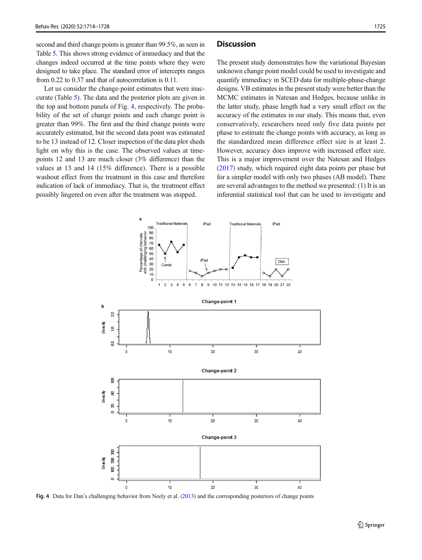Behav Res (2020) 52:1714–1728 1725

second and third change points is greater than 99.5%, as seen in Table [5.](#page-9-0) This shows strong evidence of immediacy and that the changes indeed occurred at the time points where they were designed to take place. The standard error of intercepts ranges from 0.22 to 0.37 and that of autocorrelation is 0.11.

Let us consider the change-point estimates that were inaccurate (Table [5](#page-9-0)). The data and the posterior plots are given in the top and bottom panels of Fig. 4, respectively. The probability of the set of change points and each change point is greater than 99%. The first and the third change points were accurately estimated, but the second data point was estimated to be 13 instead of 12. Closer inspection of the data plot sheds light on why this is the case. The observed values at timepoints 12 and 13 are much closer (3% difference) than the values at 13 and 14 (15% difference). There is a possible washout effect from the treatment in this case and therefore indication of lack of immediacy. That is, the treatment effect possibly lingered on even after the treatment was stopped.

## **Discussion**

The present study demonstrates how the variational Bayesian unknown change point model could be used to investigate and quantify immediacy in SCED data for multiple-phase-change designs. VB estimates in the present study were better than the MCMC estimates in Natesan and Hedges, because unlike in the latter study, phase length had a very small effect on the accuracy of the estimates in our study. This means that, even conservatively, researchers need only five data points per phase to estimate the change points with accuracy, as long as the standardized mean difference effect size is at least 2. However, accuracy does improve with increased effect size. This is a major improvement over the Natesan and Hedges [\(2017\)](#page-13-0) study, which required eight data points per phase but for a simpler model with only two phases (AB model). There are several advantages to the method we presented: (1) It is an inferential statistical tool that can be used to investigate and



Fig. 4 Data for Dan's challenging behavior from Neely et al. [\(2013\)](#page-13-0) and the corresponding posteriors of change points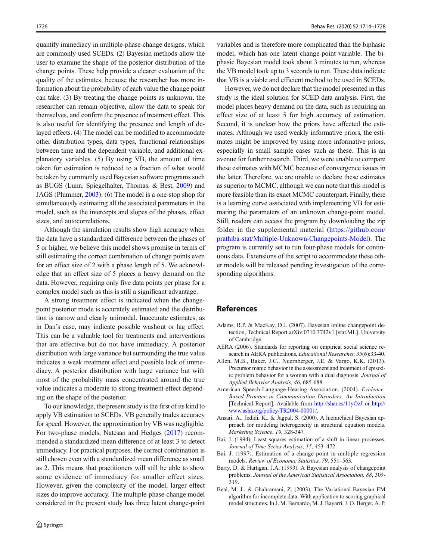<span id="page-12-0"></span>quantify immediacy in multiple-phase-change designs, which are commonly used SCEDs. (2) Bayesian methods allow the user to examine the shape of the posterior distribution of the change points. These help provide a clearer evaluation of the quality of the estimates, because the researcher has more information about the probability of each value the change point can take. (3) By treating the change points as unknown, the researcher can remain objective, allow the data to speak for themselves, and confirm the presence of treatment effect. This is also useful for identifying the presence and length of delayed effects. (4) The model can be modified to accommodate other distribution types, data types, functional relationships between time and the dependent variable, and additional explanatory variables. (5) By using VB, the amount of time taken for estimation is reduced to a fraction of what would be taken by commonly used Bayesian software programs such as BUGS (Lunn, Spiegelhalter, Thomas, & Best, [2009](#page-13-0)) and JAGS (Plummer, [2003\)](#page-13-0). (6) The model is a one-stop shop for simultaneously estimating all the associated parameters in the model, such as the intercepts and slopes of the phases, effect sizes, and autocorrelations.

Although the simulation results show high accuracy when the data have a standardized difference between the phases of 5 or higher, we believe this model shows promise in terms of still estimating the correct combination of change points even for an effect size of 2 with a phase length of 5. We acknowledge that an effect size of 5 places a heavy demand on the data. However, requiring only five data points per phase for a complex model such as this is still a significant advantage.

A strong treatment effect is indicated when the changepoint posterior mode is accurately estimated and the distribution is narrow and clearly unimodal. Inaccurate estimates, as in Dan's case, may indicate possible washout or lag effect. This can be a valuable tool for treatments and interventions that are effective but do not have immediacy. A posterior distribution with large variance but surrounding the true value indicates a weak treatment effect and possible lack of immediacy. A posterior distribution with large variance but with most of the probability mass concentrated around the true value indicates a moderate to strong treatment effect depending on the shape of the posterior.

To our knowledge, the present study is the first of its kind to apply VB estimation to SCEDs. VB generally trades accuracy for speed. However, the approximation by VB was negligible. For two-phase models, Natesan and Hedges [\(2017\)](#page-13-0) recommended a standardized mean difference of at least 3 to detect immediacy. For practical purposes, the correct combination is still chosen even with a standardized mean difference as small as 2. This means that practitioners will still be able to show some evidence of immediacy for smaller effect sizes. However, given the complexity of the model, larger effect sizes do improve accuracy. The multiple-phase-change model considered in the present study has three latent change-point

variables and is therefore more complicated than the biphasic model, which has one latent change-point variable. The biphasic Bayesian model took about 3 minutes to run, whereas the VB model took up to 3 seconds to run. These data indicate that VB is a viable and efficient method to be used in SCEDs.

However, we do not declare that the model presented in this study is the ideal solution for SCED data analysis. First, the model places heavy demand on the data, such as requiring an effect size of at least 5 for high accuracy of estimation. Second, it is unclear how the priors have affected the estimates. Although we used weakly informative priors, the estimates might be improved by using more informative priors, especially in small sample cases such as these. This is an avenue for further research. Third, we were unable to compare these estimates with MCMC because of convergence issues in the latter. Therefore, we are unable to declare these estimates as superior to MCMC, although we can note that this model is more feasible than its exact MCMC counterpart. Finally, there is a learning curve associated with implementing VB for estimating the parameters of an unknown change-point model. Still, readers can access the program by downloading the zip folder in the supplemental material ([https://github.com/](https://github.com/prathiba-stat/Multiple-Unknown-Changepoints-Model) [prathiba-stat/Multiple-Unknown-Changepoints-Model\)](https://github.com/prathiba-stat/Multiple-Unknown-Changepoints-Model). The program is currently set to run four-phase models for continuous data. Extensions of the script to accommodate these other models will be released pending investigation of the corresponding algorithms.

# References

- Adams, R.P. & MacKay, D.J. (2007). Bayesian online changepoint detection, Technical Report arXiv:0710.3742v1 [stat.ML]. University of Cambridge.
- AERA (2006). Standards for reporting on empirical social science research in AERA publications, Educational Researcher, 35(6):33-40.
- Allen, M.B., Baker, J.C., Nuernberger, J.E. & Vargo, K.K. (2013). Precursor manic behavior in the assessment and treatment of episodic problem behavior for a woman with a dual diagnosis. Journal of Applied Behavior Analysis, 46, 685-688.
- American Speech-Language-Hearing Association. (2004). Evidence-Based Practice in Communication Disorders: An Introduction [Technical Report]. Available from <http://shar.es/11yOzJ> or [http://](http://www.asha.org/policy/TR2004-00001/) [www.asha.org/policy/TR2004-00001/](http://www.asha.org/policy/TR2004-00001/).
- Ansari, A., Jedidi, K., & Jagpal, S. (2000). A hierarchical Bayesian approach for modeling heterogeneity in structural equation models. Marketing Science, 19, 328-347.
- Bai, J. (1994). Least squares estimation of a shift in linear processes. Journal of Time Series Analysis, 15, 453–472.
- Bai, J. (1997). Estimation of a change point in multiple regression models. Review of Economic Statistics, 79, 551–563.
- Barry, D. & Hartigan, J.A. (1993). A Bayesian analysis of changepoint problems. Journal of the American Statistical Association, 88, 309- 319.
- Beal, M. J., & Ghahramani, Z. (2003). The Variational Bayesian EM algorithm for incomplete data: With application to scoring graphical model structures. In J. M. Bernardo, M. J. Bayarri, J. O. Berger, A. P.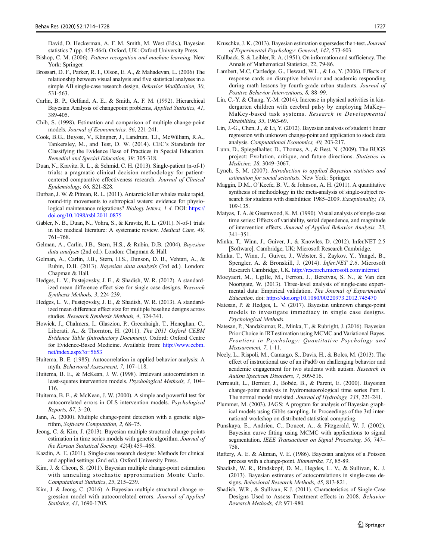<span id="page-13-0"></span>David, D. Heckerman, A. F. M. Smith, M. West (Eds.), Bayesian statistics 7 (pp. 453-464). Oxford, UK: Oxford University Press.

- Bishop, C. M. (2006). Pattern recognition and machine learning. New York: Springer.
- Brossart, D. F., Parker, R. I., Olson, E. A., & Mahadevan, L. (2006) The relationship between visual analysis and five statistical analyses in a simple AB single-case research design, Behavior Modification, 30, 531-563.
- Carlin, B. P., Gelfand, A. E., & Smith, A. F. M. (1992). Hierarchical Bayesian Analysis of changepoint problems, Applied Statistics, 41, 389-405.
- Chib, S. (1998). Estimation and comparison of multiple change-point models. Journal of Econometrics, 86, 221-241.
- Cook, B.G., Buysse, V., Klingner, J., Landrum, T.J., McWilliam, R.A., Tankersley, M., and Test, D. W. (2014). CEC's Standards for Classifying the Evidence Base of Practices in Special Education. Remedial and Special Education, 39: 305-318.
- Duan, N., Kravitz, R. L., & Schmid, C. H. (2013). Single-patient (n-of-1) trials: a pragmatic clinical decision methodology for patientcentered comparative effectiveness research. Journal of Clinical Epidemiology, 66, S21-S28.
- Durban, J. W. & Pitman, R. L. (2011). Antarctic killer whales make rapid, round-trip movements to subtropical waters: evidence for physiological maintenance migrations? Biology letters, 1-4. DOI: [https://](https://doi.org/10.1098/rsbl.2011.0875) [doi.org/10.1098/rsbl.2011.0875](https://doi.org/10.1098/rsbl.2011.0875)
- Gabler, N. B., Duan, N., Vohra, S., & Kravitz, R. L. (2011). N-of-1 trials in the medical literature: A systematic review. Medical Care, 49, 761–768.
- Gelman, A., Carlin, J.B., Stern, H.S., & Rubin, D.B. (2004). Bayesian data analysis (2nd ed.). London: Chapman & Hall.
- Gelman, A., Carlin, J.B., Stern, H.S., Dunson, D. B., Vehtari, A., & Rubin, D.B. (2013). Bayesian data analysis (3rd ed.). London: Chapman & Hall.
- Hedges, L. V., Pustejovsky, J. E., & Shadish, W. R. (2012). A standardized mean difference effect size for single case designs. Research Synthesis Methods, 3, 224-239.
- Hedges, L. V., Pustejovsky, J. E., & Shadish, W. R. (2013). A standardized mean difference effect size for multiple baseline designs across studies. Research Synthesis Methods, 4, 324-341.
- Howick, J., Chalmers, I., Glasziou, P., Greenhaigh, T., Heneghan, C., Liberati, A., & Thornton, H. (2011). The 2011 Oxford CEBM Evidence Table (Introductory Document). Oxford: Oxford Centre for Evidence-Based Medicine. Available from: [http://www.cebm.](http://www.cebm.net/index.aspx?o=5653) [net/index.aspx?o=5653](http://www.cebm.net/index.aspx?o=5653)
- Huitema, B. E. (1985). Autocorrelation in applied behavior analysis: A myth. Behavioral Assessment, 7, 107–118.
- Huitema, B. E., & McKean, J. W. (1998). Irrelevant autocorrelation in least-squares intervention models. Psychological Methods, 3, 104– 116.
- Huitema, B. E., & McKean, J. W. (2000). A simple and powerful test for autocorrelated errors in OLS intervention models. Psychological Reports, 87, 3–20.
- Jann, A. (2000). Multiple change-point detection with a genetic algorithm, Software Computation, 2, 68–75.
- Jeong, C. & Kim, J. (2013). Bayesian multiple structural change-points estimation in time series models with genetic algorithm. Journal of the Korean Statistical Society, 42(4):459–468.
- Kazdin, A. E. (2011). Single-case research designs: Methods for clinical and applied settings (2nd ed.). Oxford University Press.
- Kim, J. & Cheon, S. (2011). Bayesian multiple change-point estimation with annealing stochastic approximation Monte Carlo. Computational Statistics, 25, 215–239.
- Kim, J. & Jeong, C. (2016). A Bayesian multiple structural change regression model with autocorrelated errors. Journal of Applied Statistics, 43, 1690-1705.
- Kruschke, J. K. (2013). Bayesian estimation supersedes the t-test. Journal of Experimental Psychology: General, 142, 573-603.
- Kullback, S. & Leibler, R. A. (1951). On information and sufficiency. The Annals of Mathematical Statistics, 22, 79-86.
- Lambert, M.C, Cartledge, G., Heward, W.L., & Lo, Y. (2006). Effects of response cards on disruptive behavior and academic responding during math lessons by fourth-grade urban students. Journal of Positive Behavior Interventions, 8, 88–99.
- Lin, C.-Y. & Chang, Y.-M. (2014). Increase in physical activities in kindergarten children with cerebral palsy by employing MaKey– MaKey-based task systems. Research in Developmental Disabilities, 35, 1963-69.
- Lin, J.-G., Chen, J., & Li, Y. (2012). Bayesian analysis of student t linear regression with unknown change-point and application to stock data analysis. Computational Economics, 40, 203-217.
- Lunn, D., Spiegelhalter, D., Thomas, A., & Best, N. (2009). The BUGS project: Evolution, critique, and future directions. Statistics in Medicine, 28, 3049–3067.
- Lynch, S. M. (2007). Introduction to applied Bayesian statistics and estimation for social scientists. New York: Springer.
- Maggin, D.M., O'Keefe, B. V., & Johnson, A. H. (2011). A quantitative synthesis of methodology in the meta-analysis of single-subject research for students with disabilities: 1985–2009. Exceptionality, 19, 109-135.
- Matyas, T. A. & Greenwood, K. M. (1990). Visual analysis of single-case time series: Effects of variability, serial dependence, and magnitude of intervention effects. Journal of Applied Behavior Analysis, 23, 341–351.
- Minka, T., Winn, J., Guiver, J., & Knowles, D. (2012). Infer.NET 2.5 [Software]. Cambridge, UK: Microsoft Research Cambridge.
- Minka, T., Winn, J., Guiver, J., Webster, S., Zaykov, Y., Yangel, B., Spengler, A. & Bronskill, J. (2014). Infer.NET 2.6. Microsoft Research Cambridge, UK. <http://research.microsoft.com/infernet>
- Moeyaert, M., Ugille, M., Ferron, J., Beretvas, S. N., & Van den Noortgate, W. (2013). Three-level analysis of single-case experimental data: Empirical validation. The Journal of Experimental Education. doi: <https://doi.org/10.1080/00220973.2012.745470>
- Natesan, P. & Hedges, L. V. (2017). Bayesian unknown change-point models to investigate immediacy in single case designs. Psychological Methods.
- Natesan, P., Nandakumar, R., Minka, T., & Rubright, J. (2016). Bayesian Prior Choice in IRT estimation using MCMC and Variational Bayes. Frontiers in Psychology: Quantitative Psychology and Measurement, 7, 1-11.
- Neely, L., Rispoli, M., Camargo, S., Davis, H., & Boles, M. (2013). The effect of instructional use of an iPad® on challenging behavior and academic engagement for two students with autism. Research in Autism Spectrum Disorders, 7, 509-516.
- Perreault, L., Bernier, J., Bobée, B., & Parent, E. (2000). Bayesian change-point analysis in hydrometeorological time series Part 1. The normal model revisited. Journal of Hydrology, 235, 221-241.
- Plummer, M. (2003). JAGS: A program for analysis of Bayesian graphical models using Gibbs sampling. In Proceedings of the 3rd international workshop on distributed statistical computing.
- Punskaya, E., Andrieu, C., Doucet, A., & Fitzgerald, W. J. (2002). Bayesian curve fitting using MCMC with applications to signal segmentation. IEEE Transactions on Signal Processing, 50, 747– 758.
- Raftery, A. E. & Akman, V. E. (1986). Bayesian analysis of a Poisson process with a change-point. Biometrika, 73, 85-89.
- Shadish, W. R., Rindskopf, D. M., Hegdes, L. V., & Sullivan, K. J. (2013). Bayesian estimates of autocorrelations in single-case designs. Behavioral Research Methods, 45, 813-821.
- Shadish, W.R., & Sullivan, K.J. (2011). Characteristics of Single-Case Designs Used to Assess Treatment effects in 2008. Behavior Research Methods, 43: 971-980.